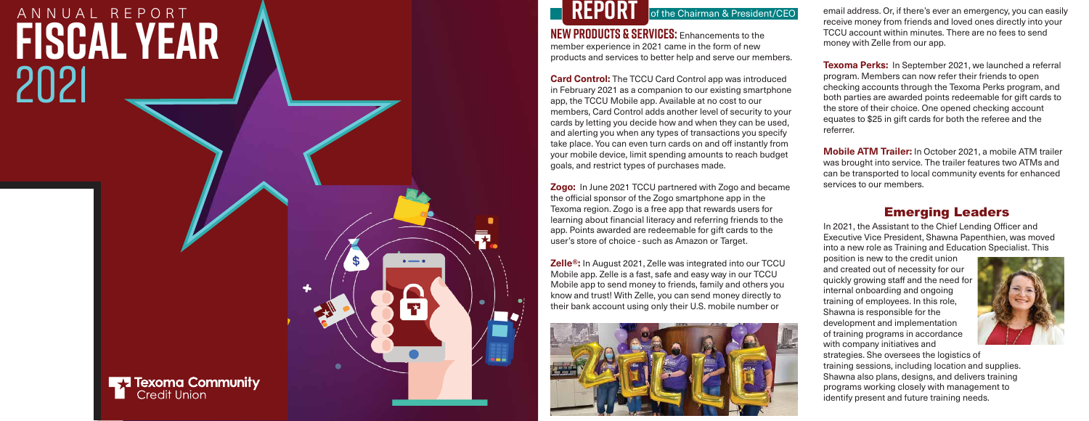In 2021, the Assistant to the Chief Lending Officer and Executive Vice President, Shawna Papenthien, was moved into a new role as Training and Education Specialist. This

position is new to the credit union and created out of necessity for our quickly growing staff and the need for



**NEW PRODUCTS & SERVICES:** Enhancements to the member experience in 2021 came in the form of new products and services to better help and serve our members.

 $\cdot$   $\cdot$ 

**Card Control:** The TCCU Card Control app was introduced in February 2021 as a companion to our existing smartphone app, the TCCU Mobile app. Available at no cost to our members, Card Control adds another level of security to your cards by letting you decide how and when they can be used, and alerting you when any types of transactions you specify take place. You can even turn cards on and off instantly from your mobile device, limit spending amounts to reach budget goals, and restrict types of purchases made.

email address. Or, if there's ever an emergency, you can easily receive money from friends and loved ones directly into your TCCU account within minutes. There are no fees to send money with Zelle from our app.

**Zogo:** In June 2021 TCCU partnered with Zogo and became the o !cial sponsor of the Zogo smartphone app in the Texoma region. Zogo is a free app that rewards users for learning about financial literacy and referring friends to the app. Points awarded are redeemable for gift cards to the user's store of choice - such as Amazon or Target.

**Zelle®:** In August 2021, Zelle was integrated into our TCCU Mobile app. Zelle is a fast, safe and easy way in our TCCU Mobile app to send money to friends, family and others you



of the Chairman & President/CEO

### Emerging Leaders

## 2021 ANNUAL REPORT **Fiscal Year**





**Texoma Perks:** In September 2021, we launched a referral program. Members can now refer their friends to open checking accounts through the Texoma Perks program, and both parties are awarded points redeemable for gift cards to the store of their choice. One opened checking account equates to \$25 in gift cards for both the referee and the referrer.

**Mobile ATM Trailer:** In October 2021, a mobile ATM trailer was brought into service. The trailer features two ATMs and can be transported to local community events for enhanced services to our members.